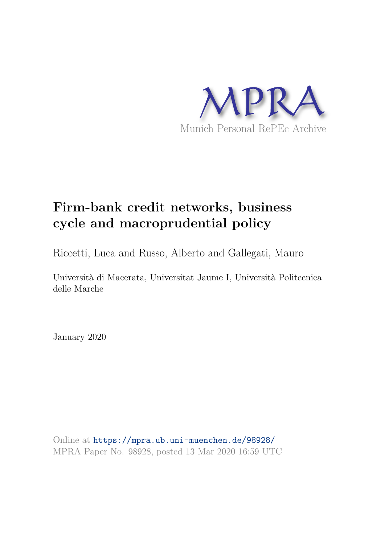

# **Firm-bank credit networks, business cycle and macroprudential policy**

Riccetti, Luca and Russo, Alberto and Gallegati, Mauro

Università di Macerata, Universitat Jaume I, Università Politecnica delle Marche

January 2020

Online at https://mpra.ub.uni-muenchen.de/98928/ MPRA Paper No. 98928, posted 13 Mar 2020 16:59 UTC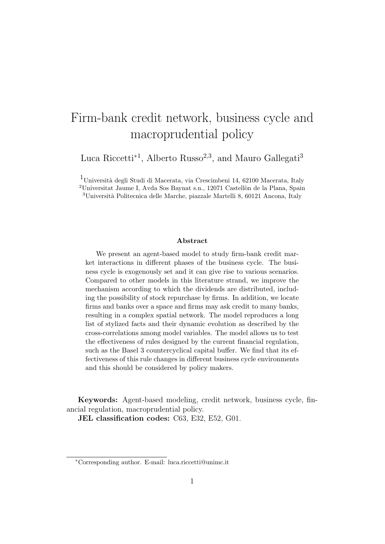# Firm-bank credit network, business cycle and macroprudential policy

Luca Riccetti<sup>\*1</sup>, Alberto Russo<sup>2,3</sup>, and Mauro Gallegati<sup>3</sup>

<sup>1</sup>Università degli Studi di Macerata, via Crescimbeni 14, 62100 Macerata, Italy

<sup>2</sup>Universitat Jaume I, Avda Sos Baynat s.n., 12071 Castellòn de la Plana, Spain  $3$ Università Politecnica delle Marche, piazzale Martelli 8, 60121 Ancona, Italy

#### Abstract

We present an agent-based model to study firm-bank credit market interactions in different phases of the business cycle. The business cycle is exogenously set and it can give rise to various scenarios. Compared to other models in this literature strand, we improve the mechanism according to which the dividends are distributed, including the possibility of stock repurchase by firms. In addition, we locate firms and banks over a space and firms may ask credit to many banks, resulting in a complex spatial network. The model reproduces a long list of stylized facts and their dynamic evolution as described by the cross-correlations among model variables. The model allows us to test the effectiveness of rules designed by the current financial regulation, such as the Basel 3 countercyclical capital buffer. We find that its effectiveness of this rule changes in different business cycle environments and this should be considered by policy makers.

Keywords: Agent-based modeling, credit network, business cycle, financial regulation, macroprudential policy.

JEL classification codes: C63, E32, E52, G01.

<sup>∗</sup>Corresponding author. E-mail: luca.riccetti@unimc.it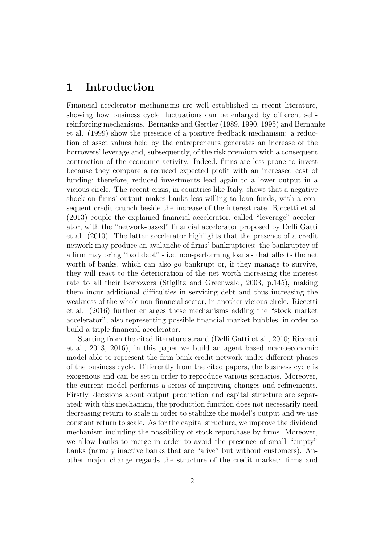# 1 Introduction

Financial accelerator mechanisms are well established in recent literature, showing how business cycle fluctuations can be enlarged by different selfreinforcing mechanisms. Bernanke and Gertler (1989, 1990, 1995) and Bernanke et al. (1999) show the presence of a positive feedback mechanism: a reduction of asset values held by the entrepreneurs generates an increase of the borrowers' leverage and, subsequently, of the risk premium with a consequent contraction of the economic activity. Indeed, firms are less prone to invest because they compare a reduced expected profit with an increased cost of funding; therefore, reduced investments lead again to a lower output in a vicious circle. The recent crisis, in countries like Italy, shows that a negative shock on firms' output makes banks less willing to loan funds, with a consequent credit crunch beside the increase of the interest rate. Riccetti et al. (2013) couple the explained financial accelerator, called "leverage" accelerator, with the "network-based" financial accelerator proposed by Delli Gatti et al. (2010). The latter accelerator highlights that the presence of a credit network may produce an avalanche of firms' bankruptcies: the bankruptcy of a firm may bring "bad debt" - i.e. non-performing loans - that affects the net worth of banks, which can also go bankrupt or, if they manage to survive, they will react to the deterioration of the net worth increasing the interest rate to all their borrowers (Stiglitz and Greenwald, 2003, p.145), making them incur additional difficulties in servicing debt and thus increasing the weakness of the whole non-financial sector, in another vicious circle. Riccetti et al. (2016) further enlarges these mechanisms adding the "stock market accelerator", also representing possible financial market bubbles, in order to build a triple financial accelerator.

Starting from the cited literature strand (Delli Gatti et al., 2010; Riccetti et al., 2013, 2016), in this paper we build an agent based macroeconomic model able to represent the firm-bank credit network under different phases of the business cycle. Differently from the cited papers, the business cycle is exogenous and can be set in order to reproduce various scenarios. Moreover, the current model performs a series of improving changes and refinements. Firstly, decisions about output production and capital structure are separated; with this mechanism, the production function does not necessarily need decreasing return to scale in order to stabilize the model's output and we use constant return to scale. As for the capital structure, we improve the dividend mechanism including the possibility of stock repurchase by firms. Moreover, we allow banks to merge in order to avoid the presence of small "empty" banks (namely inactive banks that are "alive" but without customers). Another major change regards the structure of the credit market: firms and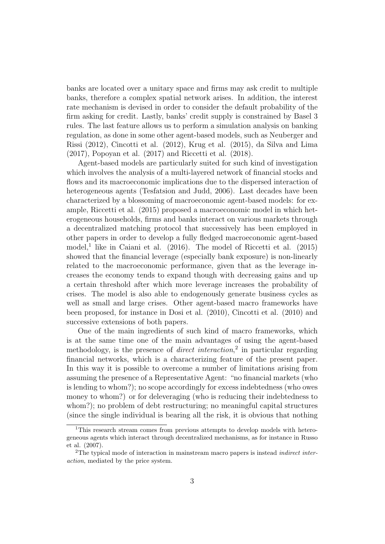banks are located over a unitary space and firms may ask credit to multiple banks, therefore a complex spatial network arises. In addition, the interest rate mechanism is devised in order to consider the default probability of the firm asking for credit. Lastly, banks' credit supply is constrained by Basel 3 rules. The last feature allows us to perform a simulation analysis on banking regulation, as done in some other agent-based models, such as Neuberger and Rissi (2012), Cincotti et al. (2012), Krug et al. (2015), da Silva and Lima (2017), Popoyan et al. (2017) and Riccetti et al. (2018).

Agent-based models are particularly suited for such kind of investigation which involves the analysis of a multi-layered network of financial stocks and flows and its macroeconomic implications due to the dispersed interaction of heterogeneous agents (Tesfatsion and Judd, 2006). Last decades have been characterized by a blossoming of macroeconomic agent-based models: for example, Riccetti et al. (2015) proposed a macroeconomic model in which heterogeneous households, firms and banks interact on various markets through a decentralized matching protocol that successively has been employed in other papers in order to develop a fully fledged macroeconomic agent-based model,<sup>1</sup> like in Caiani et al.  $(2016)$ . The model of Riccetti et al.  $(2015)$ showed that the financial leverage (especially bank exposure) is non-linearly related to the macroeconomic performance, given that as the leverage increases the economy tends to expand though with decreasing gains and up a certain threshold after which more leverage increases the probability of crises. The model is also able to endogenously generate business cycles as well as small and large crises. Other agent-based macro frameworks have been proposed, for instance in Dosi et al. (2010), Cincotti et al. (2010) and successive extensions of both papers.

One of the main ingredients of such kind of macro frameworks, which is at the same time one of the main advantages of using the agent-based methodology, is the presence of *direct interaction*,<sup>2</sup> in particular regarding financial networks, which is a characterizing feature of the present paper. In this way it is possible to overcome a number of limitations arising from assuming the presence of a Representative Agent: "no financial markets (who is lending to whom?); no scope accordingly for excess indebtedness (who owes money to whom?) or for deleveraging (who is reducing their indebtedness to whom?); no problem of debt restructuring; no meaningful capital structures (since the single individual is bearing all the risk, it is obvious that nothing

<sup>1</sup>This research stream comes from previous attempts to develop models with heterogeneous agents which interact through decentralized mechanisms, as for instance in Russo et al. (2007).

<sup>&</sup>lt;sup>2</sup>The typical mode of interaction in mainstream macro papers is instead *indirect inter*action, mediated by the price system.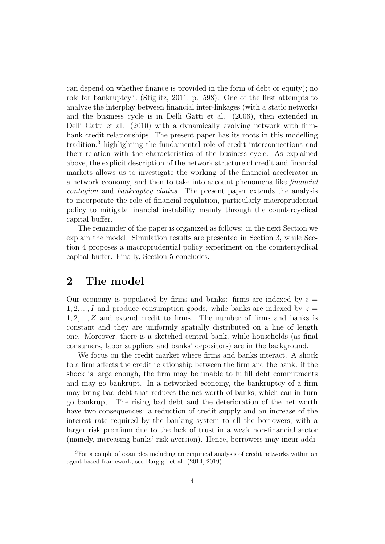can depend on whether finance is provided in the form of debt or equity); no role for bankruptcy". (Stiglitz, 2011, p. 598). One of the first attempts to analyze the interplay between financial inter-linkages (with a static network) and the business cycle is in Delli Gatti et al. (2006), then extended in Delli Gatti et al. (2010) with a dynamically evolving network with firmbank credit relationships. The present paper has its roots in this modelling tradition,<sup>3</sup> highlighting the fundamental role of credit interconnections and their relation with the characteristics of the business cycle. As explained above, the explicit description of the network structure of credit and financial markets allows us to investigate the working of the financial accelerator in a network economy, and then to take into account phenomena like financial contagion and bankruptcy chains. The present paper extends the analysis to incorporate the role of financial regulation, particularly macroprudential policy to mitigate financial instability mainly through the countercyclical capital buffer.

The remainder of the paper is organized as follows: in the next Section we explain the model. Simulation results are presented in Section 3, while Section 4 proposes a macroprudential policy experiment on the countercyclical capital buffer. Finally, Section 5 concludes.

# 2 The model

Our economy is populated by firms and banks: firms are indexed by  $i =$  $1, 2, \ldots, I$  and produce consumption goods, while banks are indexed by  $z =$ 1, 2, ..., Z and extend credit to firms. The number of firms and banks is constant and they are uniformly spatially distributed on a line of length one. Moreover, there is a sketched central bank, while households (as final consumers, labor suppliers and banks' depositors) are in the background.

We focus on the credit market where firms and banks interact. A shock to a firm affects the credit relationship between the firm and the bank: if the shock is large enough, the firm may be unable to fulfill debt commitments and may go bankrupt. In a networked economy, the bankruptcy of a firm may bring bad debt that reduces the net worth of banks, which can in turn go bankrupt. The rising bad debt and the deterioration of the net worth have two consequences: a reduction of credit supply and an increase of the interest rate required by the banking system to all the borrowers, with a larger risk premium due to the lack of trust in a weak non-financial sector (namely, increasing banks' risk aversion). Hence, borrowers may incur addi-

<sup>3</sup>For a couple of examples including an empirical analysis of credit networks within an agent-based framework, see Bargigli et al. (2014, 2019).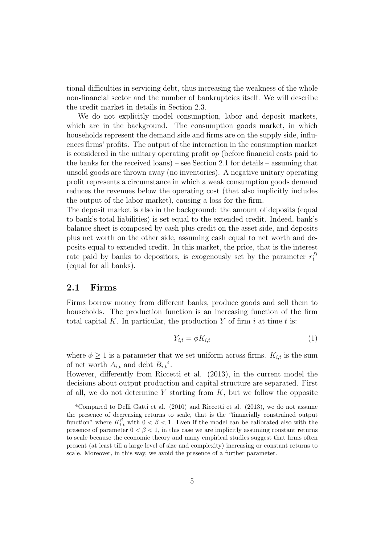tional difficulties in servicing debt, thus increasing the weakness of the whole non-financial sector and the number of bankruptcies itself. We will describe the credit market in details in Section 2.3.

We do not explicitly model consumption, labor and deposit markets, which are in the background. The consumption goods market, in which households represent the demand side and firms are on the supply side, influences firms' profits. The output of the interaction in the consumption market is considered in the unitary operating profit op (before financial costs paid to the banks for the received loans) – see Section 2.1 for details – assuming that unsold goods are thrown away (no inventories). A negative unitary operating profit represents a circumstance in which a weak consumption goods demand reduces the revenues below the operating cost (that also implicitly includes the output of the labor market), causing a loss for the firm.

The deposit market is also in the background: the amount of deposits (equal to bank's total liabilities) is set equal to the extended credit. Indeed, bank's balance sheet is composed by cash plus credit on the asset side, and deposits plus net worth on the other side, assuming cash equal to net worth and deposits equal to extended credit. In this market, the price, that is the interest rate paid by banks to depositors, is exogenously set by the parameter  $r_t^D$ (equal for all banks).

#### 2.1 Firms

Firms borrow money from different banks, produce goods and sell them to households. The production function is an increasing function of the firm total capital K. In particular, the production Y of firm i at time t is:

$$
Y_{i,t} = \phi K_{i,t} \tag{1}
$$

where  $\phi \geq 1$  is a parameter that we set uniform across firms.  $K_{i,t}$  is the sum of net worth  $A_{i,t}$  and debt  $B_{i,t}^{\ 4}$ .

However, differently from Riccetti et al. (2013), in the current model the decisions about output production and capital structure are separated. First of all, we do not determine Y starting from  $K$ , but we follow the opposite

<sup>4</sup>Compared to Delli Gatti et al. (2010) and Riccetti et al. (2013), we do not assume the presence of decreasing returns to scale, that is the "financially constrained output function" where  $K_{i,t}^{\beta}$  with  $0 < \beta < 1$ . Even if the model can be calibrated also with the presence of parameter  $0 < \beta < 1$ , in this case we are implicitly assuming constant returns to scale because the economic theory and many empirical studies suggest that firms often present (at least till a large level of size and complexity) increasing or constant returns to scale. Moreover, in this way, we avoid the presence of a further parameter.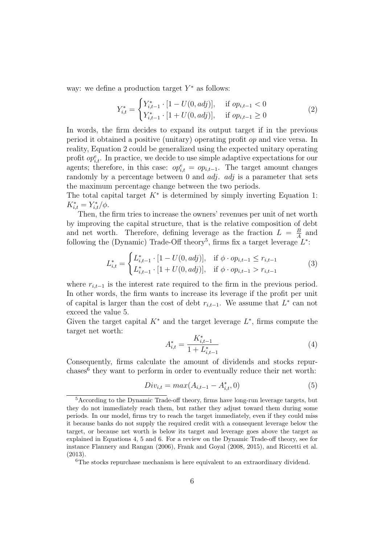way: we define a production target  $Y^*$  as follows:

$$
Y_{i,t}^* = \begin{cases} Y_{i,t-1}^* \cdot [1 - U(0, adj)], & \text{if } op_{i,t-1} < 0\\ Y_{i,t-1}^* \cdot [1 + U(0, adj)], & \text{if } op_{i,t-1} \ge 0 \end{cases}
$$
 (2)

In words, the firm decides to expand its output target if in the previous period it obtained a positive (unitary) operating profit op and vice versa. In reality, Equation 2 could be generalized using the expected unitary operating profit  $op_{i,t}^e$ . In practice, we decide to use simple adaptive expectations for our agents; therefore, in this case:  $op_{i,t}^e = op_{i,t-1}$ . The target amount changes randomly by a percentage between 0 and  $adj.$  adj is a parameter that sets the maximum percentage change between the two periods.

The total capital target  $K^*$  is determined by simply inverting Equation 1:  $K_{i,t}^* = Y_{i,t}^* / \phi.$ 

Then, the firm tries to increase the owners' revenues per unit of net worth by improving the capital structure, that is the relative composition of debt and net worth. Therefore, defining leverage as the fraction  $L = \frac{B}{A}$  $\frac{B}{A}$  and following the (Dynamic) Trade-Off theory<sup>5</sup>, firms fix a target leverage  $L^*$ :

$$
L_{i,t}^{*} = \begin{cases} L_{i,t-1}^{*} \cdot [1 - U(0, adj)], & \text{if } \phi \cdot op_{i,t-1} \le r_{i,t-1} \\ L_{i,t-1}^{*} \cdot [1 + U(0, adj)], & \text{if } \phi \cdot op_{i,t-1} > r_{i,t-1} \end{cases}
$$
(3)

where  $r_{i,t-1}$  is the interest rate required to the firm in the previous period. In other words, the firm wants to increase its leverage if the profit per unit of capital is larger than the cost of debt  $r_{i,t-1}$ . We assume that  $L^*$  can not exceed the value 5.

Given the target capital  $K^*$  and the target leverage  $L^*$ , firms compute the target net worth:

$$
A_{i,t}^* = \frac{K_{i,t-1}^*}{1 + L_{i,t-1}^*}
$$
\n<sup>(4)</sup>

Consequently, firms calculate the amount of dividends and stocks repurchases<sup>6</sup> they want to perform in order to eventually reduce their net worth:

$$
Div_{i,t} = max(A_{i,t-1} - A_{i,t}^*, 0)
$$
\n(5)

<sup>5</sup>According to the Dynamic Trade-off theory, firms have long-run leverage targets, but they do not immediately reach them, but rather they adjust toward them during some periods. In our model, firms try to reach the target immediately, even if they could miss it because banks do not supply the required credit with a consequent leverage below the target, or because net worth is below its target and leverage goes above the target as explained in Equations 4, 5 and 6. For a review on the Dynamic Trade-off theory, see for instance Flannery and Rangan (2006), Frank and Goyal (2008, 2015), and Riccetti et al. (2013).

<sup>&</sup>lt;sup>6</sup>The stocks repurchase mechanism is here equivalent to an extraordinary dividend.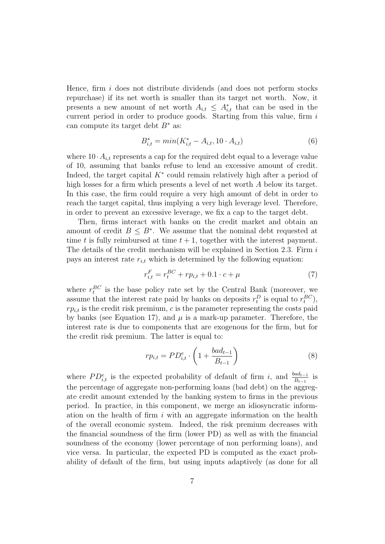Hence, firm i does not distribute dividends (and does not perform stocks repurchase) if its net worth is smaller than its target net worth. Now, it presents a new amount of net worth  $A_{i,t} \leq A_{i,t}^*$  that can be used in the current period in order to produce goods. Starting from this value, firm  $i$ can compute its target debt  $B^*$  as:

$$
B_{i,t}^* = \min(K_{i,t}^* - A_{i,t}, 10 \cdot A_{i,t})
$$
\n(6)

where  $10 \cdot A_{i,t}$  represents a cap for the required debt equal to a leverage value of 10, assuming that banks refuse to lend an excessive amount of credit. Indeed, the target capital  $K^*$  could remain relatively high after a period of high losses for a firm which presents a level of net worth A below its target. In this case, the firm could require a very high amount of debt in order to reach the target capital, thus implying a very high leverage level. Therefore, in order to prevent an excessive leverage, we fix a cap to the target debt.

Then, firms interact with banks on the credit market and obtain an amount of credit  $B \leq B^*$ . We assume that the nominal debt requested at time t is fully reimbursed at time  $t + 1$ , together with the interest payment. The details of the credit mechanism will be explained in Section 2.3. Firm  $i$ pays an interest rate  $r_{i,t}$  which is determined by the following equation:

$$
r_{i,t}^F = r_t^{BC} + r p_{i,t} + 0.1 \cdot c + \mu \tag{7}
$$

where  $r_t^{BC}$  is the base policy rate set by the Central Bank (moreover, we assume that the interest rate paid by banks on deposits  $r_t^D$  is equal to  $r_t^{BC}$ ),  $rp_{i,t}$  is the credit risk premium, c is the parameter representing the costs paid by banks (see Equation 17), and  $\mu$  is a mark-up parameter. Therefore, the interest rate is due to components that are exogenous for the firm, but for the credit risk premium. The latter is equal to:

$$
rp_{i,t} = PD_{i,t}^e \cdot \left(1 + \frac{bad_{t-1}}{B_{t-1}}\right)
$$
 (8)

where  $PD_{i,t}^e$  is the expected probability of default of firm i, and  $\frac{bad_{t-1}}{B_{t-1}}$  is the percentage of aggregate non-performing loans (bad debt) on the aggregate credit amount extended by the banking system to firms in the previous period. In practice, in this component, we merge an idiosyncratic information on the health of firm  $i$  with an aggregate information on the health of the overall economic system. Indeed, the risk premium decreases with the financial soundness of the firm (lower PD) as well as with the financial soundness of the economy (lower percentage of non performing loans), and vice versa. In particular, the expected PD is computed as the exact probability of default of the firm, but using inputs adaptively (as done for all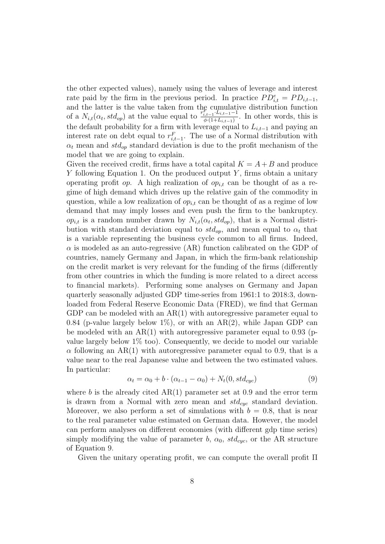the other expected values), namely using the values of leverage and interest rate paid by the firm in the previous period. In practice  $PD_{i,t}^e = PD_{i,t-1}$ , and the latter is the value taken from the cumulative distribution function of a  $N_{i,t}(\alpha_t, std_{op})$  at the value equal to  $\frac{r_{i,t-1}^E \cdot L_{i,t-1}-1}{\phi(1+L_{i,t-1})}$  $\frac{a_{i,t-1} - a_{i,t-1}}{\phi(1+L_{i,t-1})}$ . In other words, this is the default probability for a firm with leverage equal to  $L_{i,t-1}$  and paying an interest rate on debt equal to  $r_{i,t-1}^F$ . The use of a Normal distribution with  $\alpha_t$  mean and  $std_{op}$  standard deviation is due to the profit mechanism of the model that we are going to explain.

Given the received credit, firms have a total capital  $K = A + B$  and produce  $Y$  following Equation 1. On the produced output  $Y$ , firms obtain a unitary operating profit op. A high realization of  $op_{i,t}$  can be thought of as a regime of high demand which drives up the relative gain of the commodity in question, while a low realization of  $op_{i,t}$  can be thought of as a regime of low demand that may imply losses and even push the firm to the bankruptcy.  $op_{i,t}$  is a random number drawn by  $N_{i,t}(\alpha_t, std_{op})$ , that is a Normal distribution with standard deviation equal to  $std_{op}$ , and mean equal to  $\alpha_t$  that is a variable representing the business cycle common to all firms. Indeed,  $\alpha$  is modeled as an auto-regressive (AR) function calibrated on the GDP of countries, namely Germany and Japan, in which the firm-bank relationship on the credit market is very relevant for the funding of the firms (differently from other countries in which the funding is more related to a direct access to financial markets). Performing some analyses on Germany and Japan quarterly seasonally adjusted GDP time-series from 1961:1 to 2018:3, downloaded from Federal Reserve Economic Data (FRED), we find that German GDP can be modeled with an  $AR(1)$  with autoregressive parameter equal to 0.84 (p-value largely below 1%), or with an  $AR(2)$ , while Japan GDP can be modeled with an  $AR(1)$  with autoregressive parameter equal to 0.93 (pvalue largely below  $1\%$  too). Consequently, we decide to model our variable  $\alpha$  following an AR(1) with autoregressive parameter equal to 0.9, that is a value near to the real Japanese value and between the two estimated values. In particular:

$$
\alpha_t = \alpha_0 + b \cdot (\alpha_{t-1} - \alpha_0) + N_t(0, std_{cyc})
$$
\n
$$
(9)
$$

where b is the already cited  $AR(1)$  parameter set at 0.9 and the error term is drawn from a Normal with zero mean and  $std_{cuc}$  standard deviation. Moreover, we also perform a set of simulations with  $b = 0.8$ , that is near to the real parameter value estimated on German data. However, the model can perform analyses on different economies (with different gdp time series) simply modifying the value of parameter b,  $\alpha_0$ ,  $std_{cyc}$ , or the AR structure of Equation 9.

Given the unitary operating profit, we can compute the overall profit Π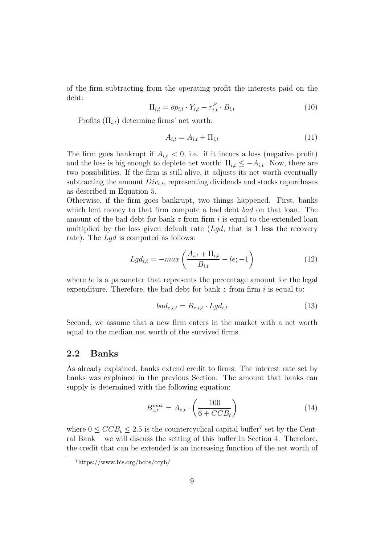of the firm subtracting from the operating profit the interests paid on the debt:

$$
\Pi_{i,t} = op_{i,t} \cdot Y_{i,t} - r_{i,t}^F \cdot B_{i,t} \tag{10}
$$

Profits  $(\Pi_{i,t})$  determine firms' net worth:

$$
A_{i,t} = A_{i,t} + \Pi_{i,t} \tag{11}
$$

The firm goes bankrupt if  $A_{i,t} < 0$ , i.e. if it incurs a loss (negative profit) and the loss is big enough to deplete net worth:  $\Pi_{i,t} \leq -A_{i,t}$ . Now, there are two possibilities. If the firm is still alive, it adjusts its net worth eventually subtracting the amount  $Div_{i,t}$ , representing dividends and stocks repurchases as described in Equation 5.

Otherwise, if the firm goes bankrupt, two things happened. First, banks which lent money to that firm compute a bad debt *bad* on that loan. The amount of the bad debt for bank  $z$  from firm i is equal to the extended loan multiplied by the loss given default rate  $(Lgd, \text{ that is } 1 \text{ less the recovery})$ rate). The Lgd is computed as follows:

$$
Lgd_{i,t} = -max\left(\frac{A_{i,t} + \Pi_{i,t}}{B_{i,t}} - le; -1\right)
$$
 (12)

where  $le$  is a parameter that represents the percentage amount for the legal expenditure. Therefore, the bad debt for bank  $z$  from firm  $i$  is equal to:

$$
bad_{z,i,t} = B_{z,i,t} \cdot Lgd_{i,t}
$$
\n
$$
(13)
$$

Second, we assume that a new firm enters in the market with a net worth equal to the median net worth of the survived firms.

### 2.2 Banks

As already explained, banks extend credit to firms. The interest rate set by banks was explained in the previous Section. The amount that banks can supply is determined with the following equation:

$$
B_{z,t}^{max} = A_{z,t} \cdot \left(\frac{100}{6 + CCB_t}\right) \tag{14}
$$

where  $0 \leq C C B_t \leq 2.5$  is the countercyclical capital buffer<sup>7</sup> set by the Central Bank – we will discuss the setting of this buffer in Section 4. Therefore, the credit that can be extended is an increasing function of the net worth of

<sup>7</sup>https://www.bis.org/bcbs/ccyb/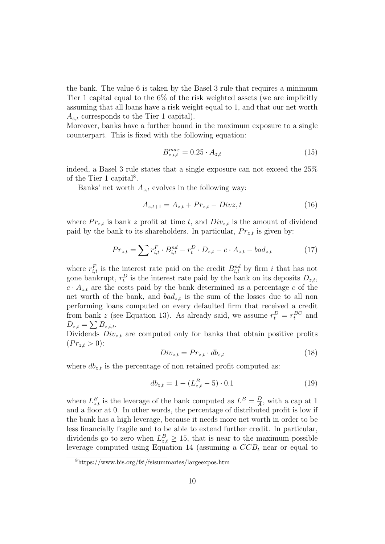the bank. The value 6 is taken by the Basel 3 rule that requires a minimum Tier 1 capital equal to the 6% of the risk weighted assets (we are implicitly assuming that all loans have a risk weight equal to 1, and that our net worth  $A_{z,t}$  corresponds to the Tier 1 capital).

Moreover, banks have a further bound in the maximum exposure to a single counterpart. This is fixed with the following equation:

$$
B_{z,i,t}^{max} = 0.25 \cdot A_{z,t} \tag{15}
$$

indeed, a Basel 3 rule states that a single exposure can not exceed the 25% of the Tier 1 capital<sup>8</sup>.

Banks' net worth  $A_{z,t}$  evolves in the following way:

$$
A_{z,t+1} = A_{z,t} + Pr_{z,t} - Divz, t
$$
\n(16)

where  $Pr_{z,t}$  is bank z profit at time t, and  $Div_{z,t}$  is the amount of dividend paid by the bank to its shareholders. In particular,  $Pr_{z,t}$  is given by:

$$
Pr_{z,t} = \sum r_{i,t}^F \cdot B_{i,t}^{nd} - r_t^D \cdot D_{z,t} - c \cdot A_{z,t} - bad_{z,t}
$$
 (17)

where  $r_{i,t}^F$  is the interest rate paid on the credit  $B_{i,t}^{nd}$  by firm i that has not gone bankrupt,  $r_t^D$  is the interest rate paid by the bank on its deposits  $D_{z,t}$ ,  $c \cdot A_{z,t}$  are the costs paid by the bank determined as a percentage c of the net worth of the bank, and  $bad_{z,t}$  is the sum of the losses due to all non performing loans computed on every defaulted firm that received a credit from bank z (see Equation 13). As already said, we assume  $r_t^D = r_t^{BC}$  and  $D_{z,t} = \sum B_{z,i,t}.$ 

Dividends  $Div_{zt}$  are computed only for banks that obtain positive profits  $(Pr_{z,t} > 0)$ :

$$
Div_{z,t} = Pr_{z,t} \cdot db_{z,t} \tag{18}
$$

where  $db_{z,t}$  is the percentage of non retained profit computed as:

$$
db_{z,t} = 1 - (L_{z,t}^B - 5) \cdot 0.1 \tag{19}
$$

where  $L_{z,t}^B$  is the leverage of the bank computed as  $L^B = \frac{D}{A}$  $\frac{D}{A}$ , with a cap at 1 and a floor at 0. In other words, the percentage of distributed profit is low if the bank has a high leverage, because it needs more net worth in order to be less financially fragile and to be able to extend further credit. In particular, dividends go to zero when  $L_{z,t}^B \geq 15$ , that is near to the maximum possible leverage computed using Equation 14 (assuming a  $CCB_t$  near or equal to

<sup>8</sup>https://www.bis.org/fsi/fsisummaries/largeexpos.htm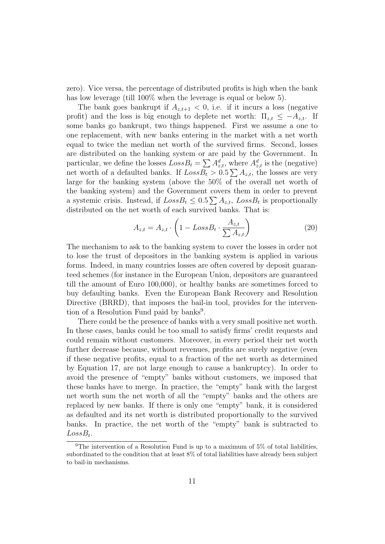zero). Vice versa, the percentage of distributed profits is high when the bank has low leverage (till 100% when the leverage is equal or below 5).

The bank goes bankrupt if  $A_{z,t+1} < 0$ , i.e. if it incurs a loss (negative profit) and the loss is big enough to deplete net worth:  $\Pi_{z,t} \leq -A_{z,t}$ . If some banks go bankrupt, two things happened. First we assume a one to one replacement, with new banks entering in the market with a net worth equal to twice the median net worth of the survived firms. Second, losses are distributed on the banking system or are paid by the Government. In particular, we define the losses  $LossB_t = \sum A_{z,t}^d$ , where  $A_{z,t}^d$  is the (negative) net worth of a defaulted banks. If  $LossB_t > 0.5 \sum A_{z,t}$ , the losses are very large for the banking system (above the 50% of the overall net worth of the banking system) and the Government covers them in order to prevent a systemic crisis. Instead, if  $LossB_t \leq 0.5 \sum A_{z,t}$ ,  $LossB_t$  is proportionally distributed on the net worth of each survived banks. That is:

$$
A_{z,t} = A_{z,t} \cdot \left(1 - LossB_t \cdot \frac{A_{z,t}}{\sum A_{z,t}}\right) \tag{20}
$$

The mechanism to ask to the banking system to cover the losses in order not to lose the trust of depositors in the banking system is applied in various forms. Indeed, in many countries losses are often covered by deposit guaranteed schemes (for instance in the European Union, depositors are guaranteed till the amount of Euro 100,000), or healthy banks are sometimes forced to buy defaulting banks. Even the European Bank Recovery and Resolution Directive (BRRD), that imposes the bail-in tool, provides for the intervention of a Resolution Fund paid by banks<sup>9</sup>.

There could be the presence of banks with a very small positive net worth. In these cases, banks could be too small to satisfy firms' credit requests and could remain without customers. Moreover, in every period their net worth further decrease because, without revenues, profits are surely negative (even if these negative profits, equal to a fraction of the net worth as determined by Equation 17, are not large enough to cause a bankruptcy). In order to avoid the presence of "empty" banks without customers, we imposed that these banks have to merge. In practice, the "empty" bank with the largest net worth sum the net worth of all the "empty" banks and the others are replaced by new banks. If there is only one "empty" bank, it is considered as defaulted and its net worth is distributed proportionally to the survived banks. In practice, the net worth of the "empty" bank is subtracted to  $LossB_t$ .

 $9$ The intervention of a Resolution Fund is up to a maximum of 5% of total liabilities, subordinated to the condition that at least 8% of total liabilities have already been subject to bail-in mechanisms.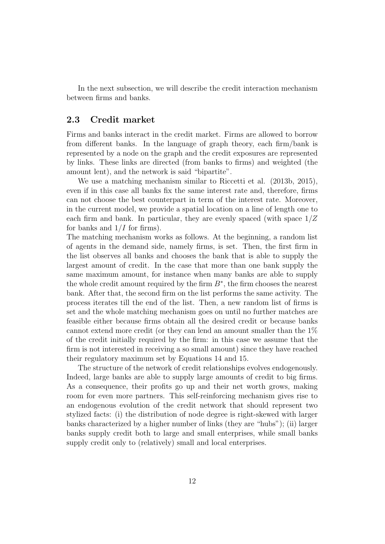In the next subsection, we will describe the credit interaction mechanism between firms and banks.

#### 2.3 Credit market

Firms and banks interact in the credit market. Firms are allowed to borrow from different banks. In the language of graph theory, each firm/bank is represented by a node on the graph and the credit exposures are represented by links. These links are directed (from banks to firms) and weighted (the amount lent), and the network is said "bipartite".

We use a matching mechanism similar to Riccetti et al. (2013b, 2015), even if in this case all banks fix the same interest rate and, therefore, firms can not choose the best counterpart in term of the interest rate. Moreover, in the current model, we provide a spatial location on a line of length one to each firm and bank. In particular, they are evenly spaced (with space  $1/Z$ for banks and  $1/I$  for firms).

The matching mechanism works as follows. At the beginning, a random list of agents in the demand side, namely firms, is set. Then, the first firm in the list observes all banks and chooses the bank that is able to supply the largest amount of credit. In the case that more than one bank supply the same maximum amount, for instance when many banks are able to supply the whole credit amount required by the firm  $B^*$ , the firm chooses the nearest bank. After that, the second firm on the list performs the same activity. The process iterates till the end of the list. Then, a new random list of firms is set and the whole matching mechanism goes on until no further matches are feasible either because firms obtain all the desired credit or because banks cannot extend more credit (or they can lend an amount smaller than the 1% of the credit initially required by the firm: in this case we assume that the firm is not interested in receiving a so small amount) since they have reached their regulatory maximum set by Equations 14 and 15.

The structure of the network of credit relationships evolves endogenously. Indeed, large banks are able to supply large amounts of credit to big firms. As a consequence, their profits go up and their net worth grows, making room for even more partners. This self-reinforcing mechanism gives rise to an endogenous evolution of the credit network that should represent two stylized facts: (i) the distribution of node degree is right-skewed with larger banks characterized by a higher number of links (they are "hubs"); (ii) larger banks supply credit both to large and small enterprises, while small banks supply credit only to (relatively) small and local enterprises.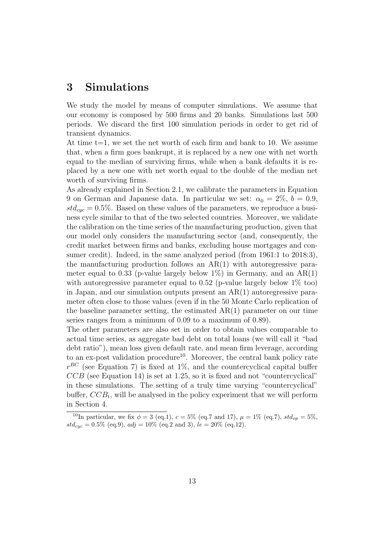# 3 Simulations

We study the model by means of computer simulations. We assume that our economy is composed by 500 firms and 20 banks. Simulations last 500 periods. We discard the first 100 simulation periods in order to get rid of transient dynamics.

At time  $t=1$ , we set the net worth of each firm and bank to 10. We assume that, when a firm goes bankrupt, it is replaced by a new one with net worth equal to the median of surviving firms, while when a bank defaults it is replaced by a new one with net worth equal to the double of the median net worth of surviving firms.

As already explained in Section 2.1, we calibrate the parameters in Equation 9 on German and Japanese data. In particular we set:  $\alpha_0 = 2\%$ ,  $b = 0.9$ ,  $std_{cyc} = 0.5\%$ . Based on these values of the parameters, we reproduce a business cycle similar to that of the two selected countries. Moreover, we validate the calibration on the time series of the manufacturing production, given that our model only considers the manufacturing sector (and, consequently, the credit market between firms and banks, excluding house mortgages and consumer credit). Indeed, in the same analyzed period (from 1961:1 to 2018:3), the manufacturing production follows an  $AR(1)$  with autoregressive parameter equal to 0.33 (p-value largely below  $1\%$ ) in Germany, and an AR(1) with autoregressive parameter equal to 0.52 (p-value largely below  $1\%$  too) in Japan, and our simulation outputs present an AR(1) autoregressive parameter often close to those values (even if in the 50 Monte Carlo replication of the baseline parameter setting, the estimated  $AR(1)$  parameter on our time series ranges from a minimum of 0.09 to a maximum of 0.89).

The other parameters are also set in order to obtain values comparable to actual time series, as aggregate bad debt on total loans (we will call it "bad debt ratio"), mean loss given default rate, and mean firm leverage, according to an ex-post validation procedure<sup>10</sup>. Moreover, the central bank policy rate  $r^{BC}$  (see Equation 7) is fixed at 1%, and the countercyclical capital buffer  $CCB$  (see Equation 14) is set at 1.25, so it is fixed and not "countercyclical" in these simulations. The setting of a truly time varying "countercyclical" buffer,  $CCB_t$ , will be analysed in the policy experiment that we will perform in Section 4.

<sup>&</sup>lt;sup>10</sup>In particular, we fix  $\phi = 3$  (eq.1),  $c = 5\%$  (eq.7 and 17),  $\mu = 1\%$  (eq.7),  $std_{op} = 5\%$ ,  $std_{cyc} = 0.5\%$  (eq.9),  $adj = 10\%$  (eq.2 and 3),  $le = 20\%$  (eq.12).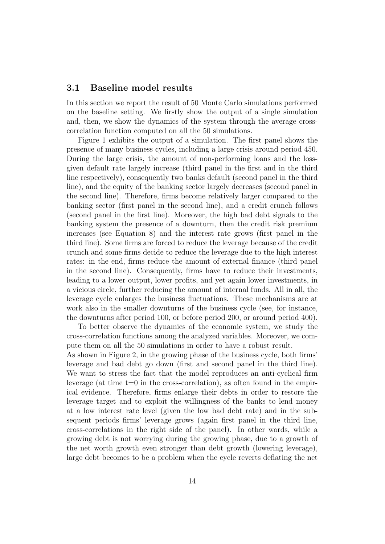#### 3.1 Baseline model results

In this section we report the result of 50 Monte Carlo simulations performed on the baseline setting. We firstly show the output of a single simulation and, then, we show the dynamics of the system through the average crosscorrelation function computed on all the 50 simulations.

Figure 1 exhibits the output of a simulation. The first panel shows the presence of many business cycles, including a large crisis around period 450. During the large crisis, the amount of non-performing loans and the lossgiven default rate largely increase (third panel in the first and in the third line respectively), consequently two banks default (second panel in the third line), and the equity of the banking sector largely decreases (second panel in the second line). Therefore, firms become relatively larger compared to the banking sector (first panel in the second line), and a credit crunch follows (second panel in the first line). Moreover, the high bad debt signals to the banking system the presence of a downturn, then the credit risk premium increases (see Equation 8) and the interest rate grows (first panel in the third line). Some firms are forced to reduce the leverage because of the credit crunch and some firms decide to reduce the leverage due to the high interest rates: in the end, firms reduce the amount of external finance (third panel in the second line). Consequently, firms have to reduce their investments, leading to a lower output, lower profits, and yet again lower investments, in a vicious circle, further reducing the amount of internal funds. All in all, the leverage cycle enlarges the business fluctuations. These mechanisms are at work also in the smaller downturns of the business cycle (see, for instance, the downturns after period 100, or before period 200, or around period 400).

To better observe the dynamics of the economic system, we study the cross-correlation functions among the analyzed variables. Moreover, we compute them on all the 50 simulations in order to have a robust result. As shown in Figure 2, in the growing phase of the business cycle, both firms' leverage and bad debt go down (first and second panel in the third line). We want to stress the fact that the model reproduces an anti-cyclical firm leverage (at time  $t=0$  in the cross-correlation), as often found in the empirical evidence. Therefore, firms enlarge their debts in order to restore the leverage target and to exploit the willingness of the banks to lend money at a low interest rate level (given the low bad debt rate) and in the subsequent periods firms' leverage grows (again first panel in the third line, cross-correlations in the right side of the panel). In other words, while a growing debt is not worrying during the growing phase, due to a growth of the net worth growth even stronger than debt growth (lowering leverage),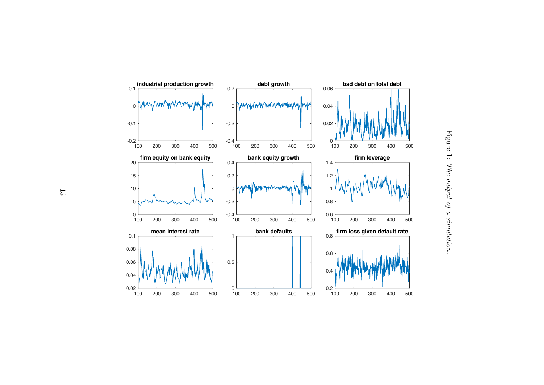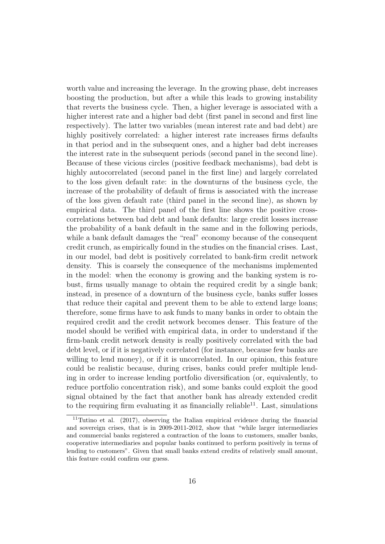worth value and increasing the leverage. In the growing phase, debt increases boosting the production, but after a while this leads to growing instability that reverts the business cycle. Then, a higher leverage is associated with a higher interest rate and a higher bad debt (first panel in second and first line respectively). The latter two variables (mean interest rate and bad debt) are highly positively correlated: a higher interest rate increases firms defaults in that period and in the subsequent ones, and a higher bad debt increases the interest rate in the subsequent periods (second panel in the second line). Because of these vicious circles (positive feedback mechanisms), bad debt is highly autocorrelated (second panel in the first line) and largely correlated to the loss given default rate: in the downturns of the business cycle, the increase of the probability of default of firms is associated with the increase of the loss given default rate (third panel in the second line), as shown by empirical data. The third panel of the first line shows the positive crosscorrelations between bad debt and bank defaults: large credit losses increase the probability of a bank default in the same and in the following periods, while a bank default damages the "real" economy because of the consequent credit crunch, as empirically found in the studies on the financial crises. Last, in our model, bad debt is positively correlated to bank-firm credit network density. This is coarsely the consequence of the mechanisms implemented in the model: when the economy is growing and the banking system is robust, firms usually manage to obtain the required credit by a single bank; instead, in presence of a downturn of the business cycle, banks suffer losses that reduce their capital and prevent them to be able to extend large loans; therefore, some firms have to ask funds to many banks in order to obtain the required credit and the credit network becomes denser. This feature of the model should be verified with empirical data, in order to understand if the firm-bank credit network density is really positively correlated with the bad debt level, or if it is negatively correlated (for instance, because few banks are willing to lend money), or if it is uncorrelated. In our opinion, this feature could be realistic because, during crises, banks could prefer multiple lending in order to increase lending portfolio diversification (or, equivalently, to reduce portfolio concentration risk), and some banks could exploit the good signal obtained by the fact that another bank has already extended credit to the requiring firm evaluating it as financially reliable<sup>11</sup>. Last, simulations

 $11$ Tutino et al. (2017), observing the Italian empirical evidence during the financial and sovereign crises, that is in 2009-2011-2012, show that "while larger intermediaries and commercial banks registered a contraction of the loans to customers, smaller banks, cooperative intermediaries and popular banks continued to perform positively in terms of lending to customers". Given that small banks extend credits of relatively small amount, this feature could confirm our guess.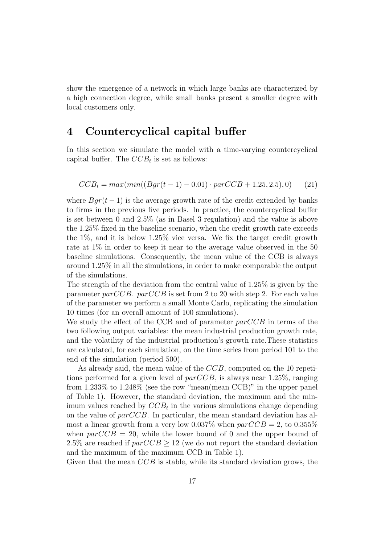show the emergence of a network in which large banks are characterized by a high connection degree, while small banks present a smaller degree with local customers only.

# 4 Countercyclical capital buffer

In this section we simulate the model with a time-varying countercyclical capital buffer. The  $CCB_t$  is set as follows:

$$
CCB_t = max(min((Bgr(t-1) - 0.01) \cdot parCCB + 1.25, 2.5), 0)
$$
 (21)

where  $Bqr(t-1)$  is the average growth rate of the credit extended by banks to firms in the previous five periods. In practice, the countercyclical buffer is set between 0 and 2.5% (as in Basel 3 regulation) and the value is above the 1.25% fixed in the baseline scenario, when the credit growth rate exceeds the 1%, and it is below 1.25% vice versa. We fix the target credit growth rate at 1% in order to keep it near to the average value observed in the 50 baseline simulations. Consequently, the mean value of the CCB is always around 1.25% in all the simulations, in order to make comparable the output of the simulations.

The strength of the deviation from the central value of 1.25% is given by the parameter parCCB. parCCB is set from 2 to 20 with step 2. For each value of the parameter we perform a small Monte Carlo, replicating the simulation 10 times (for an overall amount of 100 simulations).

We study the effect of the CCB and of parameter  $parCCB$  in terms of the two following output variables: the mean industrial production growth rate, and the volatility of the industrial production's growth rate.These statistics are calculated, for each simulation, on the time series from period 101 to the end of the simulation (period 500).

As already said, the mean value of the CCB, computed on the 10 repetitions performed for a given level of  $parCCB$ , is always near 1.25%, ranging from 1.233% to 1.248% (see the row "mean(mean CCB)" in the upper panel of Table 1). However, the standard deviation, the maximum and the minimum values reached by  $CCB_t$  in the various simulations change depending on the value of  $parCCB$ . In particular, the mean standard deviation has almost a linear growth from a very low  $0.037\%$  when  $parCCB = 2$ , to  $0.355\%$ when  $parCCB = 20$ , while the lower bound of 0 and the upper bound of 2.5% are reached if  $parCCB \ge 12$  (we do not report the standard deviation and the maximum of the maximum CCB in Table 1).

Given that the mean  $CCB$  is stable, while its standard deviation grows, the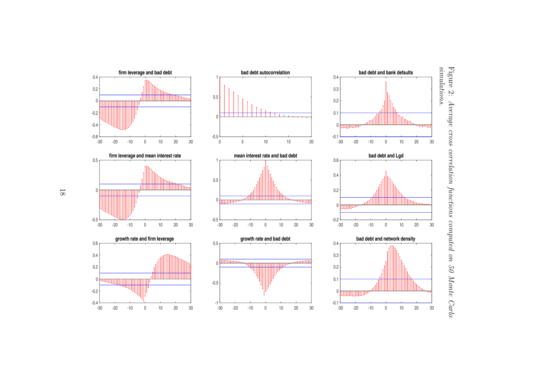

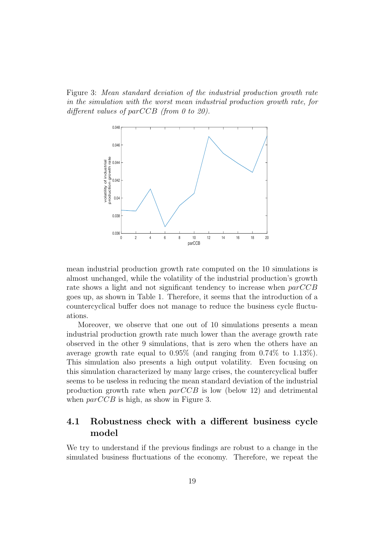Figure 3: Mean standard deviation of the industrial production growth rate in the simulation with the worst mean industrial production growth rate, for different values of parCCB (from 0 to 20).



mean industrial production growth rate computed on the 10 simulations is almost unchanged, while the volatility of the industrial production's growth rate shows a light and not significant tendency to increase when parCCB goes up, as shown in Table 1. Therefore, it seems that the introduction of a countercyclical buffer does not manage to reduce the business cycle fluctuations.

Moreover, we observe that one out of 10 simulations presents a mean industrial production growth rate much lower than the average growth rate observed in the other 9 simulations, that is zero when the others have an average growth rate equal to  $0.95\%$  (and ranging from  $0.74\%$  to  $1.13\%$ ). This simulation also presents a high output volatility. Even focusing on this simulation characterized by many large crises, the countercyclical buffer seems to be useless in reducing the mean standard deviation of the industrial production growth rate when  $parCCB$  is low (below 12) and detrimental when  $parCCB$  is high, as show in Figure 3.

## 4.1 Robustness check with a different business cycle model

We try to understand if the previous findings are robust to a change in the simulated business fluctuations of the economy. Therefore, we repeat the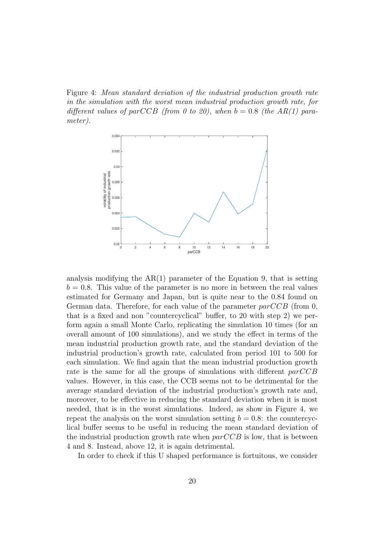Figure 4: Mean standard deviation of the industrial production growth rate in the simulation with the worst mean industrial production growth rate, for different values of parCCB (from 0 to 20), when  $b = 0.8$  (the AR(1) parameter).



analysis modifying the  $AR(1)$  parameter of the Equation 9, that is setting  $b = 0.8$ . This value of the parameter is no more in between the real values estimated for Germany and Japan, but is quite near to the 0.84 found on German data. Therefore, for each value of the parameter  $parCCB$  (from 0, that is a fixed and non "countercyclical" buffer, to 20 with step 2) we perform again a small Monte Carlo, replicating the simulation 10 times (for an overall amount of 100 simulations), and we study the effect in terms of the mean industrial production growth rate, and the standard deviation of the industrial production's growth rate, calculated from period 101 to 500 for each simulation. We find again that the mean industrial production growth rate is the same for all the groups of simulations with different parCCB values. However, in this case, the CCB seems not to be detrimental for the average standard deviation of the industrial production's growth rate and, moreover, to be effective in reducing the standard deviation when it is most needed, that is in the worst simulations. Indeed, as show in Figure 4, we repeat the analysis on the worst simulation setting  $b = 0.8$ : the countercyclical buffer seems to be useful in reducing the mean standard deviation of the industrial production growth rate when  $parCCB$  is low, that is between 4 and 8. Instead, above 12, it is again detrimental.

In order to check if this U shaped performance is fortuitous, we consider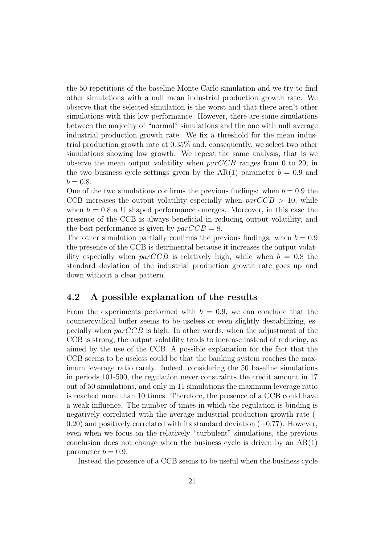the 50 repetitions of the baseline Monte Carlo simulation and we try to find other simulations with a null mean industrial production growth rate. We observe that the selected simulation is the worst and that there aren't other simulations with this low performance. However, there are some simulations between the majority of "normal" simulations and the one with null average industrial production growth rate. We fix a threshold for the mean industrial production growth rate at 0.35% and, consequently, we select two other simulations showing low growth. We repeat the same analysis, that is we observe the mean output volatility when  $parCCB$  ranges from 0 to 20, in the two business cycle settings given by the AR(1) parameter  $b = 0.9$  and  $b = 0.8$ .

One of the two simulations confirms the previous findings: when  $b = 0.9$  the CCB increases the output volatility especially when  $parCCB > 10$ , while when  $b = 0.8$  a U shaped performance emerges. Moreover, in this case the presence of the CCB is always beneficial in reducing output volatility, and the best performance is given by  $parCCB = 8$ .

The other simulation partially confirms the previous findings: when  $b = 0.9$ the presence of the CCB is detrimental because it increases the output volatility especially when  $parCCB$  is relatively high, while when  $b = 0.8$  the standard deviation of the industrial production growth rate goes up and down without a clear pattern.

#### 4.2 A possible explanation of the results

From the experiments performed with  $b = 0.9$ , we can conclude that the countercyclical buffer seems to be useless or even slightly destabilizing, especially when  $parCCB$  is high. In other words, when the adjustment of the CCB is strong, the output volatility tends to increase instead of reducing, as aimed by the use of the CCB. A possible explanation for the fact that the CCB seems to be useless could be that the banking system reaches the maximum leverage ratio rarely. Indeed, considering the 50 baseline simulations in periods 101-500, the regulation never constraints the credit amount in 17 out of 50 simulations, and only in 11 simulations the maximum leverage ratio is reached more than 10 times. Therefore, the presence of a CCB could have a weak influence. The number of times in which the regulation is binding is negatively correlated with the average industrial production growth rate (-  $(0.20)$  and positively correlated with its standard deviation  $(+0.77)$ . However, even when we focus on the relatively "turbulent" simulations, the previous conclusion does not change when the business cycle is driven by an  $AR(1)$ parameter  $b = 0.9$ .

Instead the presence of a CCB seems to be useful when the business cycle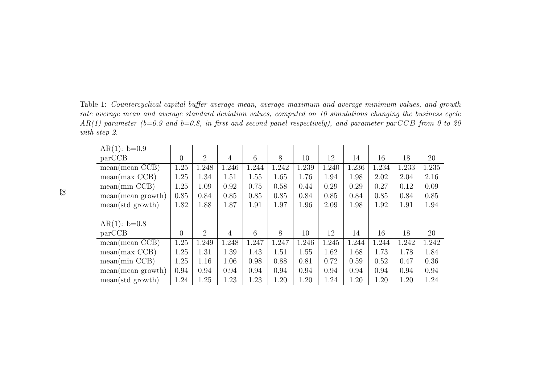Table 1: Countercyclical capital buffer average mean, average maximum and average minimum values, and growth rate average mean and average standard deviation values, computed on <sup>10</sup> simulations changing the business cycle  $AR(1)$  parameter (b=0.9 and b=0.8, in first and second panel respectively), and parameter parCCB from 0 to 20 with step 2.

| $AR(1): b=0.9$            |                |                |                |       |       |       |       |       |       |       |       |
|---------------------------|----------------|----------------|----------------|-------|-------|-------|-------|-------|-------|-------|-------|
| parCCB                    | $\overline{0}$ | $\overline{2}$ | 4              | 6     | 8     | 10    | 12    | 14    | 16    | 18    | 20    |
| mean(mean CCB)            | 1.25           | 1.248          | 1.246          | 1.244 | 1.242 | 1.239 | 1.240 | 1.236 | 1.234 | 1.233 | 1.235 |
| mean(max CCB)             | 1.25           | 1.34           | 1.51           | 1.55  | 1.65  | 1.76  | 1.94  | 1.98  | 2.02  | 2.04  | 2.16  |
| mean(min CCB)             | 1.25           | 1.09           | 0.92           | 0.75  | 0.58  | 0.44  | 0.29  | 0.29  | 0.27  | 0.12  | 0.09  |
| mean(mean growth)         | 0.85           | 0.84           | 0.85           | 0.85  | 0.85  | 0.84  | 0.85  | 0.84  | 0.85  | 0.84  | 0.85  |
| $mean(std\text{ growth})$ | 1.82           | 1.88           | 1.87           | 1.91  | 1.97  | 1.96  | 2.09  | 1.98  | 1.92  | 1.91  | 1.94  |
|                           |                |                |                |       |       |       |       |       |       |       |       |
| $AR(1): b=0.8$            |                |                |                |       |       |       |       |       |       |       |       |
| parCCB                    | $\theta$       | 2              | $\overline{4}$ | 6     | 8     | 10    | 12    | 14    | 16    | 18    | 20    |
| mean(mean CCB)            | 1.25           | 1.249          | 1.248          | 1.247 | 1.247 | 1.246 | 1.245 | 1.244 | 1.244 | 1.242 | 1.242 |
| mean(max CCB)             | 1.25           | 1.31           | 1.39           | 1.43  | 1.51  | 1.55  | 1.62  | 1.68  | 1.73  | 1.78  | 1.84  |
| mean(min CCB)             | 1.25           | 1.16           | 1.06           | 0.98  | 0.88  | 0.81  | 0.72  | 0.59  | 0.52  | 0.47  | 0.36  |
| mean(mean growth)         | 0.94           | 0.94           | 0.94           | 0.94  | 0.94  | 0.94  | 0.94  | 0.94  | 0.94  | 0.94  | 0.94  |
| $mean(std\text{ growth})$ | 1.24           | 1.25           | 1.23           | 1.23  | 1.20  | 1.20  | 1.24  | 1.20  | 1.20  | 1.20  | 1.24  |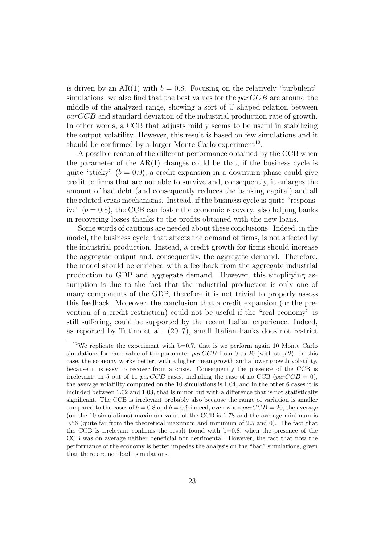is driven by an AR(1) with  $b = 0.8$ . Focusing on the relatively "turbulent" simulations, we also find that the best values for the  $parCCB$  are around the middle of the analyzed range, showing a sort of U shaped relation between parCCB and standard deviation of the industrial production rate of growth. In other words, a CCB that adjusts mildly seems to be useful in stabilizing the output volatility. However, this result is based on few simulations and it should be confirmed by a larger Monte Carlo experiment<sup>12</sup>.

A possible reason of the different performance obtained by the CCB when the parameter of the  $AR(1)$  changes could be that, if the business cycle is quite "sticky"  $(b = 0.9)$ , a credit expansion in a downturn phase could give credit to firms that are not able to survive and, consequently, it enlarges the amount of bad debt (and consequently reduces the banking capital) and all the related crisis mechanisms. Instead, if the business cycle is quite "responsive"  $(b = 0.8)$ , the CCB can foster the economic recovery, also helping banks in recovering losses thanks to the profits obtained with the new loans.

Some words of cautions are needed about these conclusions. Indeed, in the model, the business cycle, that affects the demand of firms, is not affected by the industrial production. Instead, a credit growth for firms should increase the aggregate output and, consequently, the aggregate demand. Therefore, the model should be enriched with a feedback from the aggregate industrial production to GDP and aggregate demand. However, this simplifying assumption is due to the fact that the industrial production is only one of many components of the GDP, therefore it is not trivial to properly assess this feedback. Moreover, the conclusion that a credit expansion (or the prevention of a credit restriction) could not be useful if the "real economy" is still suffering, could be supported by the recent Italian experience. Indeed, as reported by Tutino et al. (2017), small Italian banks does not restrict

<sup>&</sup>lt;sup>12</sup>We replicate the experiment with  $b=0.7$ , that is we perform again 10 Monte Carlo simulations for each value of the parameter  $parCCB$  from 0 to 20 (with step 2). In this case, the economy works better, with a higher mean growth and a lower growth volatility, because it is easy to recover from a crisis. Consequently the presence of the CCB is irrelevant: in 5 out of 11 parCCB cases, including the case of no CCB (parCCB = 0), the average volatility computed on the 10 simulations is 1.04, and in the other 6 cases it is included between 1.02 and 1.03, that is minor but with a difference that is not statistically significant. The CCB is irrelevant probably also because the range of variation is smaller compared to the cases of  $b = 0.8$  and  $b = 0.9$  indeed, even when  $parCCB = 20$ , the average (on the 10 simulations) maximum value of the CCB is 1.78 and the average minimum is 0.56 (quite far from the theoretical maximum and minimum of 2.5 and 0). The fact that the CCB is irrelevant confirms the result found with b=0.8, when the presence of the CCB was on average neither beneficial nor detrimental. However, the fact that now the performance of the economy is better impedes the analysis on the "bad" simulations, given that there are no "bad" simulations.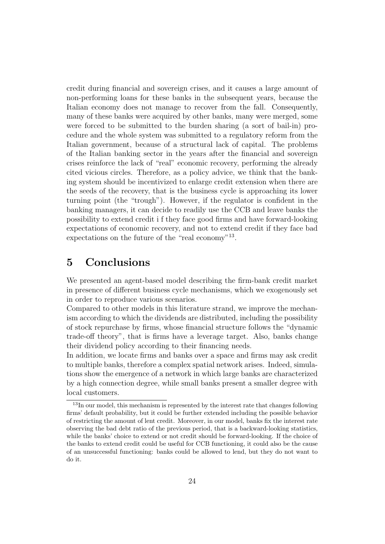credit during financial and sovereign crises, and it causes a large amount of non-performing loans for these banks in the subsequent years, because the Italian economy does not manage to recover from the fall. Consequently, many of these banks were acquired by other banks, many were merged, some were forced to be submitted to the burden sharing (a sort of bail-in) procedure and the whole system was submitted to a regulatory reform from the Italian government, because of a structural lack of capital. The problems of the Italian banking sector in the years after the financial and sovereign crises reinforce the lack of "real" economic recovery, performing the already cited vicious circles. Therefore, as a policy advice, we think that the banking system should be incentivized to enlarge credit extension when there are the seeds of the recovery, that is the business cycle is approaching its lower turning point (the "trough"). However, if the regulator is confident in the banking managers, it can decide to readily use the CCB and leave banks the possibility to extend credit i f they face good firms and have forward-looking expectations of economic recovery, and not to extend credit if they face bad expectations on the future of the "real economy"<sup>13</sup>.

# 5 Conclusions

We presented an agent-based model describing the firm-bank credit market in presence of different business cycle mechanisms, which we exogenously set in order to reproduce various scenarios.

Compared to other models in this literature strand, we improve the mechanism according to which the dividends are distributed, including the possibility of stock repurchase by firms, whose financial structure follows the "dynamic trade-off theory", that is firms have a leverage target. Also, banks change their dividend policy according to their financing needs.

In addition, we locate firms and banks over a space and firms may ask credit to multiple banks, therefore a complex spatial network arises. Indeed, simulations show the emergence of a network in which large banks are characterized by a high connection degree, while small banks present a smaller degree with local customers.

<sup>&</sup>lt;sup>13</sup>In our model, this mechanism is represented by the interest rate that changes following firms' default probability, but it could be further extended including the possible behavior of restricting the amount of lent credit. Moreover, in our model, banks fix the interest rate observing the bad debt ratio of the previous period, that is a backward-looking statistics, while the banks' choice to extend or not credit should be forward-looking. If the choice of the banks to extend credit could be useful for CCB functioning, it could also be the cause of an unsuccessful functioning: banks could be allowed to lend, but they do not want to do it.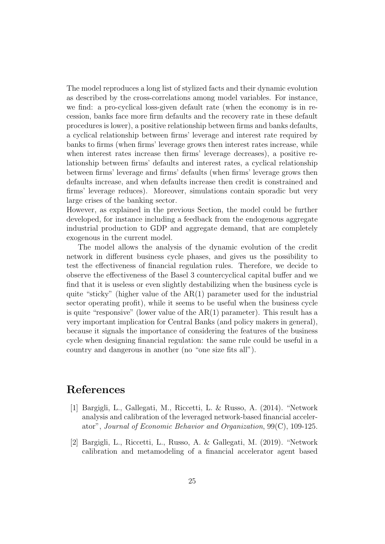The model reproduces a long list of stylized facts and their dynamic evolution as described by the cross-correlations among model variables. For instance, we find: a pro-cyclical loss-given default rate (when the economy is in recession, banks face more firm defaults and the recovery rate in these default procedures is lower), a positive relationship between firms and banks defaults, a cyclical relationship between firms' leverage and interest rate required by banks to firms (when firms' leverage grows then interest rates increase, while when interest rates increase then firms' leverage decreases), a positive relationship between firms' defaults and interest rates, a cyclical relationship between firms' leverage and firms' defaults (when firms' leverage grows then defaults increase, and when defaults increase then credit is constrained and firms' leverage reduces). Moreover, simulations contain sporadic but very large crises of the banking sector.

However, as explained in the previous Section, the model could be further developed, for instance including a feedback from the endogenous aggregate industrial production to GDP and aggregate demand, that are completely exogenous in the current model.

The model allows the analysis of the dynamic evolution of the credit network in different business cycle phases, and gives us the possibility to test the effectiveness of financial regulation rules. Therefore, we decide to observe the effectiveness of the Basel 3 countercyclical capital buffer and we find that it is useless or even slightly destabilizing when the business cycle is quite "sticky" (higher value of the  $AR(1)$  parameter used for the industrial sector operating profit), while it seems to be useful when the business cycle is quite "responsive" (lower value of the  $AR(1)$  parameter). This result has a very important implication for Central Banks (and policy makers in general), because it signals the importance of considering the features of the business cycle when designing financial regulation: the same rule could be useful in a country and dangerous in another (no "one size fits all").

## References

- [1] Bargigli, L., Gallegati, M., Riccetti, L. & Russo, A. (2014). "Network analysis and calibration of the leveraged network-based financial accelerator", Journal of Economic Behavior and Organization, 99(C), 109-125.
- [2] Bargigli, L., Riccetti, L., Russo, A. & Gallegati, M. (2019). "Network calibration and metamodeling of a financial accelerator agent based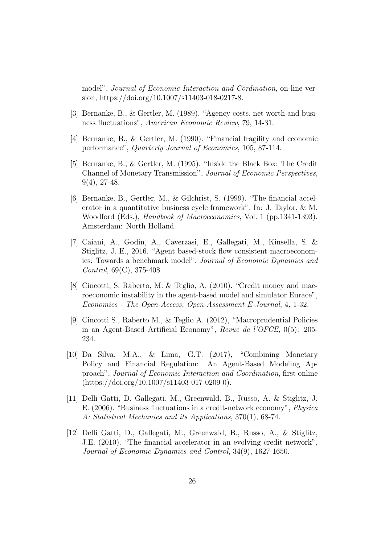model", Journal of Economic Interaction and Cordination, on-line version, https://doi.org/10.1007/s11403-018-0217-8.

- [3] Bernanke, B., & Gertler, M. (1989). "Agency costs, net worth and business fluctuations", American Economic Review, 79, 14-31.
- [4] Bernanke, B., & Gertler, M. (1990). "Financial fragility and economic performance", Quarterly Journal of Economics, 105, 87-114.
- [5] Bernanke, B., & Gertler, M. (1995). "Inside the Black Box: The Credit Channel of Monetary Transmission", Journal of Economic Perspectives, 9(4), 27-48.
- [6] Bernanke, B., Gertler, M., & Gilchrist, S. (1999). "The financial accelerator in a quantitative business cycle framework". In: J. Taylor, & M. Woodford (Eds.), *Handbook of Macroeconomics*, Vol. 1 (pp.1341-1393). Amsterdam: North Holland.
- [7] Caiani, A., Godin, A., Caverzasi, E., Gallegati, M., Kinsella, S. & Stiglitz, J. E., 2016. "Agent based-stock flow consistent macroeconomics: Towards a benchmark model", Journal of Economic Dynamics and Control, 69(C), 375-408.
- [8] Cincotti, S. Raberto, M. & Teglio, A. (2010). "Credit money and macroeconomic instability in the agent-based model and simulator Eurace", Economics - The Open-Access, Open-Assessment E-Journal, 4, 1-32.
- [9] Cincotti S., Raberto M., & Teglio A. (2012), "Macroprudential Policies in an Agent-Based Artificial Economy", Revue de l'OFCE, 0(5): 205- 234.
- [10] Da Silva, M.A., & Lima, G.T. (2017), "Combining Monetary Policy and Financial Regulation: An Agent-Based Modeling Approach", Journal of Economic Interaction and Coordination, first online (https://doi.org/10.1007/s11403-017-0209-0).
- [11] Delli Gatti, D. Gallegati, M., Greenwald, B., Russo, A. & Stiglitz, J. E. (2006). "Business fluctuations in a credit-network economy", Physica A: Statistical Mechanics and its Applications, 370(1), 68-74.
- [12] Delli Gatti, D., Gallegati, M., Greenwald, B., Russo, A., & Stiglitz, J.E. (2010). "The financial accelerator in an evolving credit network", Journal of Economic Dynamics and Control, 34(9), 1627-1650.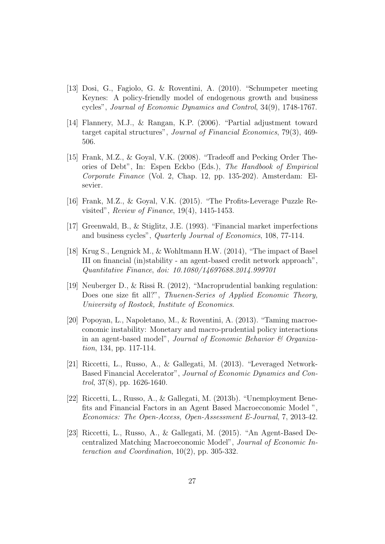- [13] Dosi, G., Fagiolo, G. & Roventini, A. (2010). "Schumpeter meeting Keynes: A policy-friendly model of endogenous growth and business cycles", Journal of Economic Dynamics and Control, 34(9), 1748-1767.
- [14] Flannery, M.J., & Rangan, K.P. (2006). "Partial adjustment toward target capital structures", Journal of Financial Economics, 79(3), 469- 506.
- [15] Frank, M.Z., & Goyal, V.K. (2008). "Tradeoff and Pecking Order Theories of Debt", In: Espen Eckbo (Eds.), The Handbook of Empirical Corporate Finance (Vol. 2, Chap. 12, pp. 135-202). Amsterdam: Elsevier.
- [16] Frank, M.Z., & Goyal, V.K. (2015). "The Profits-Leverage Puzzle Revisited", Review of Finance, 19(4), 1415-1453.
- [17] Greenwald, B., & Stiglitz, J.E. (1993). "Financial market imperfections and business cycles", Quarterly Journal of Economics, 108, 77-114.
- [18] Krug S., Lengnick M., & Wohltmann H.W. (2014), "The impact of Basel III on financial (in)stability - an agent-based credit network approach", Quantitative Finance, doi: 10.1080/14697688.2014.999701
- [19] Neuberger D., & Rissi R. (2012), "Macroprudential banking regulation: Does one size fit all?", Thuenen-Series of Applied Economic Theory, University of Rostock, Institute of Economics.
- [20] Popoyan, L., Napoletano, M., & Roventini, A. (2013). "Taming macroeconomic instability: Monetary and macro-prudential policy interactions in an agent-based model", Journal of Economic Behavior  $\mathcal C$  Organization, 134, pp. 117-114.
- [21] Riccetti, L., Russo, A., & Gallegati, M. (2013). "Leveraged Network-Based Financial Accelerator", Journal of Economic Dynamics and Control, 37(8), pp. 1626-1640.
- [22] Riccetti, L., Russo, A., & Gallegati, M. (2013b). "Unemployment Benefits and Financial Factors in an Agent Based Macroeconomic Model ", Economics: The Open-Access, Open-Assessment E-Journal, 7, 2013-42.
- [23] Riccetti, L., Russo, A., & Gallegati, M. (2015). "An Agent-Based Decentralized Matching Macroeconomic Model", Journal of Economic Interaction and Coordination, 10(2), pp. 305-332.